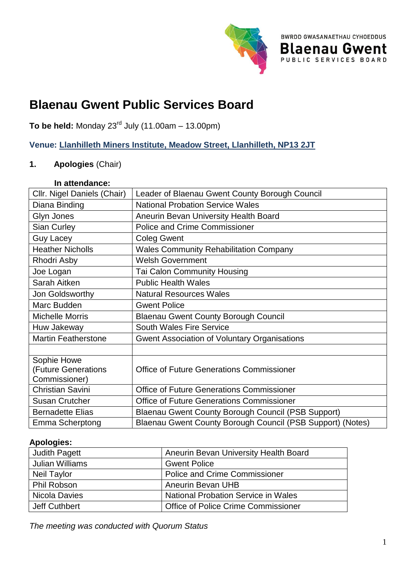

**BWRDD GWASANAETHAU CYHOEDDUS** 

**Blaenau Gwent** 

# **Blaenau Gwent Public Services Board**

**To be held:** Monday  $23^{rd}$  July (11.00am – 13.00pm)

**Venue: [Llanhilleth Miners Institute, Meadow Street, Llanhilleth, NP13 2JT](https://www.bing.com/search?q=llanhilleth+institute&qs=AS&pq=llanhilleth+inst&sc=8-16&cvid=E3EE991097E8433D81A60A9A33814C9A&FORM=QBRE&sp=1&ghc=1)**

## **1. Apologies** (Chair)

## **In attendance:**

| Cllr. Nigel Daniels (Chair) | Leader of Blaenau Gwent County Borough Council             |
|-----------------------------|------------------------------------------------------------|
| Diana Binding               | <b>National Probation Service Wales</b>                    |
| Glyn Jones                  | Aneurin Bevan University Health Board                      |
| <b>Sian Curley</b>          | <b>Police and Crime Commissioner</b>                       |
| <b>Guy Lacey</b>            | <b>Coleg Gwent</b>                                         |
| <b>Heather Nicholls</b>     | <b>Wales Community Rehabilitation Company</b>              |
| Rhodri Asby                 | <b>Welsh Government</b>                                    |
| Joe Logan                   | <b>Tai Calon Community Housing</b>                         |
| Sarah Aitken                | <b>Public Health Wales</b>                                 |
| Jon Goldsworthy             | <b>Natural Resources Wales</b>                             |
| Marc Budden                 | <b>Gwent Police</b>                                        |
| <b>Michelle Morris</b>      | <b>Blaenau Gwent County Borough Council</b>                |
| Huw Jakeway                 | <b>South Wales Fire Service</b>                            |
| <b>Martin Featherstone</b>  | <b>Gwent Association of Voluntary Organisations</b>        |
|                             |                                                            |
| Sophie Howe                 |                                                            |
| <b>(Future Generations</b>  | <b>Office of Future Generations Commissioner</b>           |
| Commissioner)               |                                                            |
| <b>Christian Savini</b>     | <b>Office of Future Generations Commissioner</b>           |
| <b>Susan Crutcher</b>       | <b>Office of Future Generations Commissioner</b>           |
| <b>Bernadette Elias</b>     | Blaenau Gwent County Borough Council (PSB Support)         |
| Emma Scherptong             | Blaenau Gwent County Borough Council (PSB Support) (Notes) |

#### **Apologies:**

| <b>Judith Pagett</b>   | Aneurin Bevan University Health Board      |
|------------------------|--------------------------------------------|
| <b>Julian Williams</b> | <b>Gwent Police</b>                        |
| <b>Neil Taylor</b>     | <b>Police and Crime Commissioner</b>       |
| Phil Robson            | <b>Aneurin Bevan UHB</b>                   |
| Nicola Davies          | <b>National Probation Service in Wales</b> |
| Jeff Cuthbert          | Office of Police Crime Commissioner        |

*The meeting was conducted with Quorum Status*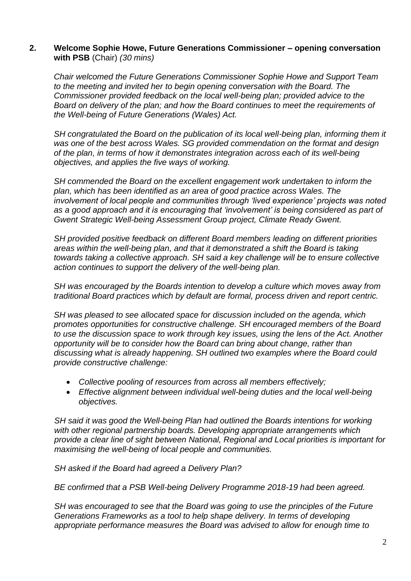#### **2. Welcome Sophie Howe, Future Generations Commissioner – opening conversation with PSB** (Chair) *(30 mins)*

*Chair welcomed the Future Generations Commissioner Sophie Howe and Support Team to the meeting and invited her to begin opening conversation with the Board. The Commissioner provided feedback on the local well-being plan; provided advice to the Board on delivery of the plan; and how the Board continues to meet the requirements of the Well-being of Future Generations (Wales) Act.*

*SH congratulated the Board on the publication of its local well-being plan, informing them it was one of the best across Wales. SG provided commendation on the format and design of the plan, in terms of how it demonstrates integration across each of its well-being objectives, and applies the five ways of working.*

*SH commended the Board on the excellent engagement work undertaken to inform the plan, which has been identified as an area of good practice across Wales. The involvement of local people and communities through 'lived experience' projects was noted as a good approach and it is encouraging that 'involvement' is being considered as part of Gwent Strategic Well-being Assessment Group project, Climate Ready Gwent.*

*SH provided positive feedback on different Board members leading on different priorities areas within the well-being plan, and that it demonstrated a shift the Board is taking towards taking a collective approach. SH said a key challenge will be to ensure collective action continues to support the delivery of the well-being plan.*

*SH was encouraged by the Boards intention to develop a culture which moves away from traditional Board practices which by default are formal, process driven and report centric.* 

*SH was pleased to see allocated space for discussion included on the agenda, which promotes opportunities for constructive challenge. SH encouraged members of the Board to use the discussion space to work through key issues, using the lens of the Act. Another opportunity will be to consider how the Board can bring about change, rather than discussing what is already happening. SH outlined two examples where the Board could provide constructive challenge:*

- *Collective pooling of resources from across all members effectively;*
- *Effective alignment between individual well-being duties and the local well-being objectives.*

*SH said it was good the Well-being Plan had outlined the Boards intentions for working with other regional partnership boards. Developing appropriate arrangements which provide a clear line of sight between National, Regional and Local priorities is important for maximising the well-being of local people and communities.* 

*SH asked if the Board had agreed a Delivery Plan?*

*BE confirmed that a PSB Well-being Delivery Programme 2018-19 had been agreed.*

*SH was encouraged to see that the Board was going to use the principles of the Future Generations Frameworks as a tool to help shape delivery. In terms of developing appropriate performance measures the Board was advised to allow for enough time to*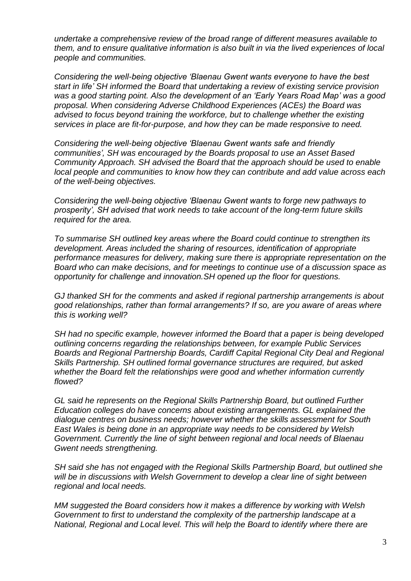*undertake a comprehensive review of the broad range of different measures available to them, and to ensure qualitative information is also built in via the lived experiences of local people and communities.*

*Considering the well-being objective 'Blaenau Gwent wants everyone to have the best start in life' SH informed the Board that undertaking a review of existing service provision was a good starting point. Also the development of an 'Early Years Road Map' was a good proposal. When considering Adverse Childhood Experiences (ACEs) the Board was advised to focus beyond training the workforce, but to challenge whether the existing services in place are fit-for-purpose, and how they can be made responsive to need.*

*Considering the well-being objective 'Blaenau Gwent wants safe and friendly communities', SH was encouraged by the Boards proposal to use an Asset Based Community Approach. SH advised the Board that the approach should be used to enable local people and communities to know how they can contribute and add value across each of the well-being objectives.*

*Considering the well-being objective 'Blaenau Gwent wants to forge new pathways to prosperity', SH advised that work needs to take account of the long-term future skills required for the area.*

*To summarise SH outlined key areas where the Board could continue to strengthen its development. Areas included the sharing of resources, identification of appropriate performance measures for delivery, making sure there is appropriate representation on the Board who can make decisions, and for meetings to continue use of a discussion space as opportunity for challenge and innovation.SH opened up the floor for questions.*

*GJ thanked SH for the comments and asked if regional partnership arrangements is about good relationships, rather than formal arrangements? If so, are you aware of areas where this is working well?*

*SH had no specific example, however informed the Board that a paper is being developed outlining concerns regarding the relationships between, for example Public Services Boards and Regional Partnership Boards, Cardiff Capital Regional City Deal and Regional Skills Partnership. SH outlined formal governance structures are required, but asked whether the Board felt the relationships were good and whether information currently flowed?*

*GL said he represents on the Regional Skills Partnership Board, but outlined Further Education colleges do have concerns about existing arrangements. GL explained the dialogue centres on business needs; however whether the skills assessment for South East Wales is being done in an appropriate way needs to be considered by Welsh Government. Currently the line of sight between regional and local needs of Blaenau Gwent needs strengthening.* 

*SH said she has not engaged with the Regional Skills Partnership Board, but outlined she*  will be in discussions with Welsh Government to develop a clear line of sight between *regional and local needs.*

*MM suggested the Board considers how it makes a difference by working with Welsh Government to first to understand the complexity of the partnership landscape at a National, Regional and Local level. This will help the Board to identify where there are*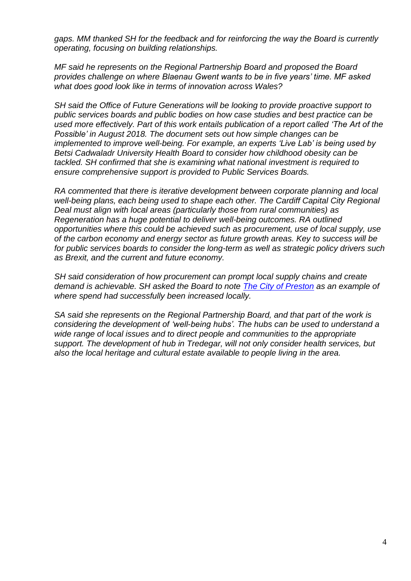*gaps. MM thanked SH for the feedback and for reinforcing the way the Board is currently operating, focusing on building relationships.*

*MF said he represents on the Regional Partnership Board and proposed the Board provides challenge on where Blaenau Gwent wants to be in five years' time. MF asked what does good look like in terms of innovation across Wales?*

*SH said the Office of Future Generations will be looking to provide proactive support to public services boards and public bodies on how case studies and best practice can be used more effectively. Part of this work entails publication of a report called 'The Art of the Possible' in August 2018. The document sets out how simple changes can be implemented to improve well-being. For example, an experts 'Live Lab' is being used by Betsi Cadwaladr University Health Board to consider how childhood obesity can be tackled. SH confirmed that she is examining what national investment is required to ensure comprehensive support is provided to Public Services Boards.*

*RA commented that there is iterative development between corporate planning and local well-being plans, each being used to shape each other. The Cardiff Capital City Regional Deal must align with local areas (particularly those from rural communities) as Regeneration has a huge potential to deliver well-being outcomes. RA outlined opportunities where this could be achieved such as procurement, use of local supply, use of the carbon economy and energy sector as future growth areas. Key to success will be for public services boards to consider the long-term as well as strategic policy drivers such as Brexit, and the current and future economy.*

*SH said consideration of how procurement can prompt local supply chains and create demand is achievable. SH asked the Board to note [The City of Preston](https://www.theguardian.com/society/2017/feb/14/poverty-was-entrenched-in-preston-so-we-became-more-self-sufficient) as an example of where spend had successfully been increased locally.*

*SA said she represents on the Regional Partnership Board, and that part of the work is considering the development of 'well-being hubs'. The hubs can be used to understand a wide range of local issues and to direct people and communities to the appropriate support. The development of hub in Tredegar, will not only consider health services, but also the local heritage and cultural estate available to people living in the area.*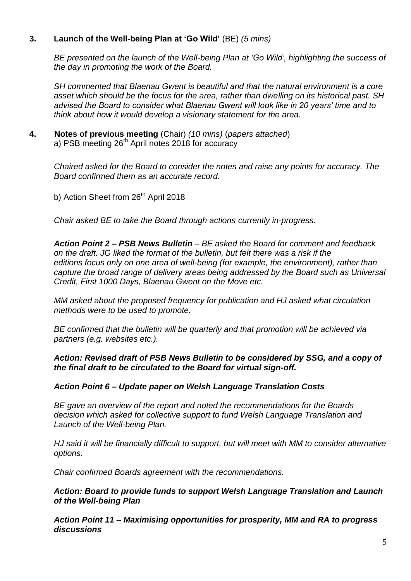## **3. Launch of the Well-being Plan at 'Go Wild'** (BE) *(5 mins)*

*BE presented on the launch of the Well-being Plan at 'Go Wild', highlighting the success of the day in promoting the work of the Board.*

*SH commented that Blaenau Gwent is beautiful and that the natural environment is a core asset which should be the focus for the area, rather than dwelling on its historical past. SH advised the Board to consider what Blaenau Gwent will look like in 20 years' time and to think about how it would develop a visionary statement for the area.*

**4. Notes of previous meeting** (Chair) *(10 mins)* (*papers attached*) a) PSB meeting 26<sup>th</sup> April notes 2018 for accuracy

*Chaired asked for the Board to consider the notes and raise any points for accuracy. The Board confirmed them as an accurate record.*

b) Action Sheet from 26<sup>th</sup> April 2018

*Chair asked BE to take the Board through actions currently in-progress.*

*Action Point 2 – PSB News Bulletin – BE asked the Board for comment and feedback on the draft. JG liked the format of the bulletin, but felt there was a risk if the editions focus only on one area of well-being (for example, the environment), rather than capture the broad range of delivery areas being addressed by the Board such as Universal Credit, First 1000 Days, Blaenau Gwent on the Move etc.* 

*MM asked about the proposed frequency for publication and HJ asked what circulation methods were to be used to promote.* 

*BE confirmed that the bulletin will be quarterly and that promotion will be achieved via partners (e.g. websites etc.).*

#### *Action: Revised draft of PSB News Bulletin to be considered by SSG, and a copy of the final draft to be circulated to the Board for virtual sign-off.*

#### *Action Point 6 – Update paper on Welsh Language Translation Costs*

*BE gave an overview of the report and noted the recommendations for the Boards decision which asked for collective support to fund Welsh Language Translation and Launch of the Well-being Plan.*

*HJ said it will be financially difficult to support, but will meet with MM to consider alternative options.*

*Chair confirmed Boards agreement with the recommendations.*

#### *Action: Board to provide funds to support Welsh Language Translation and Launch of the Well-being Plan*

*Action Point 11 – Maximising opportunities for prosperity, MM and RA to progress discussions*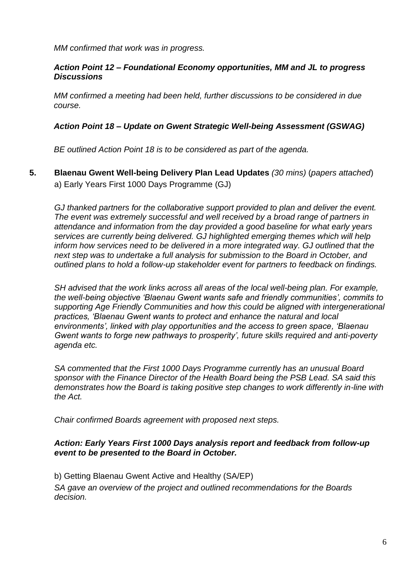*MM confirmed that work was in progress.*

## *Action Point 12 – Foundational Economy opportunities, MM and JL to progress Discussions*

*MM confirmed a meeting had been held, further discussions to be considered in due course.*

## *Action Point 18 – Update on Gwent Strategic Well-being Assessment (GSWAG)*

*BE outlined Action Point 18 is to be considered as part of the agenda.*

**5. Blaenau Gwent Well-being Delivery Plan Lead Updates** *(30 mins)* (*papers attached*) a) Early Years First 1000 Days Programme (GJ)

*GJ thanked partners for the collaborative support provided to plan and deliver the event. The event was extremely successful and well received by a broad range of partners in attendance and information from the day provided a good baseline for what early years services are currently being delivered. GJ highlighted emerging themes which will help inform how services need to be delivered in a more integrated way. GJ outlined that the next step was to undertake a full analysis for submission to the Board in October, and outlined plans to hold a follow-up stakeholder event for partners to feedback on findings.*

*SH advised that the work links across all areas of the local well-being plan. For example, the well-being objective 'Blaenau Gwent wants safe and friendly communities', commits to supporting Age Friendly Communities and how this could be aligned with intergenerational practices, 'Blaenau Gwent wants to protect and enhance the natural and local environments', linked with play opportunities and the access to green space, 'Blaenau Gwent wants to forge new pathways to prosperity', future skills required and anti-poverty agenda etc.*

*SA commented that the First 1000 Days Programme currently has an unusual Board sponsor with the Finance Director of the Health Board being the PSB Lead. SA said this demonstrates how the Board is taking positive step changes to work differently in-line with the Act.*

*Chair confirmed Boards agreement with proposed next steps.*

## *Action: Early Years First 1000 Days analysis report and feedback from follow-up event to be presented to the Board in October.*

b) Getting Blaenau Gwent Active and Healthy (SA/EP) *SA gave an overview of the project and outlined recommendations for the Boards decision.*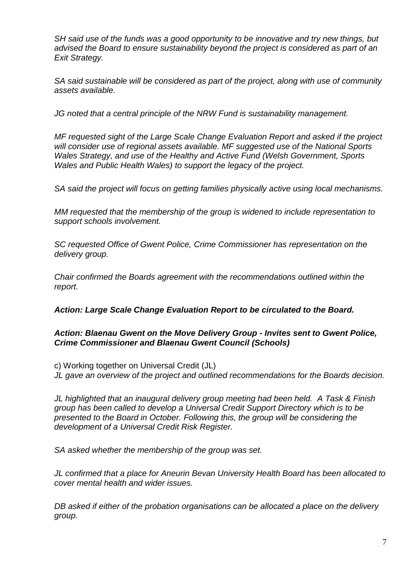*SH said use of the funds was a good opportunity to be innovative and try new things, but advised the Board to ensure sustainability beyond the project is considered as part of an Exit Strategy.*

*SA said sustainable will be considered as part of the project, along with use of community assets available.*

*JG noted that a central principle of the NRW Fund is sustainability management.*

*MF requested sight of the Large Scale Change Evaluation Report and asked if the project will consider use of regional assets available. MF suggested use of the National Sports Wales Strategy, and use of the Healthy and Active Fund (Welsh Government, Sports Wales and Public Health Wales) to support the legacy of the project.*

*SA said the project will focus on getting families physically active using local mechanisms.*

*MM requested that the membership of the group is widened to include representation to support schools involvement.*

*SC requested Office of Gwent Police, Crime Commissioner has representation on the delivery group.*

*Chair confirmed the Boards agreement with the recommendations outlined within the report.*

*Action: Large Scale Change Evaluation Report to be circulated to the Board.*

## *Action: Blaenau Gwent on the Move Delivery Group - Invites sent to Gwent Police, Crime Commissioner and Blaenau Gwent Council (Schools)*

c) Working together on Universal Credit (JL) *JL gave an overview of the project and outlined recommendations for the Boards decision.*

*JL highlighted that an inaugural delivery group meeting had been held. A Task & Finish group has been called to develop a Universal Credit Support Directory which is to be presented to the Board in October. Following this, the group will be considering the development of a Universal Credit Risk Register.* 

*SA asked whether the membership of the group was set.*

*JL confirmed that a place for Aneurin Bevan University Health Board has been allocated to cover mental health and wider issues.*

*DB asked if either of the probation organisations can be allocated a place on the delivery group.*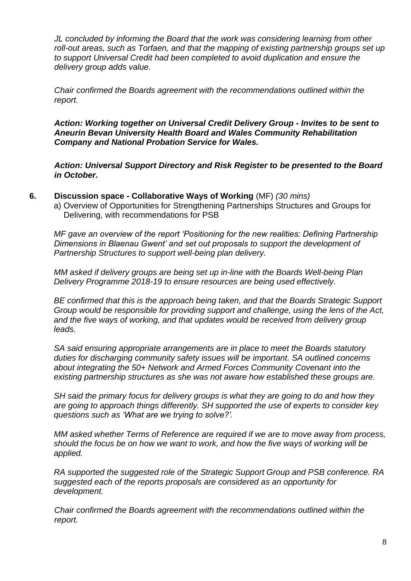*JL concluded by informing the Board that the work was considering learning from other roll-out areas, such as Torfaen, and that the mapping of existing partnership groups set up to support Universal Credit had been completed to avoid duplication and ensure the delivery group adds value.*

*Chair confirmed the Boards agreement with the recommendations outlined within the report.*

*Action: Working together on Universal Credit Delivery Group - Invites to be sent to Aneurin Bevan University Health Board and Wales Community Rehabilitation Company and National Probation Service for Wales.*

*Action: Universal Support Directory and Risk Register to be presented to the Board in October.*

- **6. Discussion space - Collaborative Ways of Working** (MF) *(30 mins)*
	- a) Overview of Opportunities for Strengthening Partnerships Structures and Groups for Delivering, with recommendations for PSB

*MF gave an overview of the report 'Positioning for the new realities: Defining Partnership Dimensions in Blaenau Gwent' and set out proposals to support the development of Partnership Structures to support well-being plan delivery.* 

*MM asked if delivery groups are being set up in-line with the Boards Well-being Plan Delivery Programme 2018-19 to ensure resources are being used effectively.*

*BE confirmed that this is the approach being taken, and that the Boards Strategic Support Group would be responsible for providing support and challenge, using the lens of the Act, and the five ways of working, and that updates would be received from delivery group leads.*

*SA said ensuring appropriate arrangements are in place to meet the Boards statutory duties for discharging community safety issues will be important. SA outlined concerns about integrating the 50+ Network and Armed Forces Community Covenant into the existing partnership structures as she was not aware how established these groups are.*

*SH said the primary focus for delivery groups is what they are going to do and how they are going to approach things differently. SH supported the use of experts to consider key questions such as 'What are we trying to solve?'.*

*MM asked whether Terms of Reference are required if we are to move away from process, should the focus be on how we want to work, and how the five ways of working will be applied.*

*RA supported the suggested role of the Strategic Support Group and PSB conference. RA suggested each of the reports proposals are considered as an opportunity for development.*

*Chair confirmed the Boards agreement with the recommendations outlined within the report.*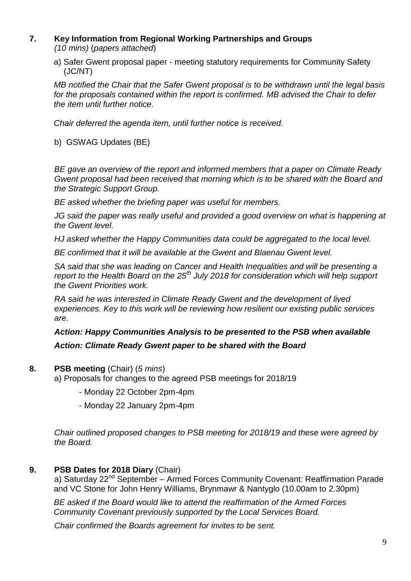#### **7. Key Information from Regional Working Partnerships and Groups** *(10 mins)* (*papers attached*)

a) Safer Gwent proposal paper - meeting statutory requirements for Community Safety (JC/NT)

*MB notified the Chair that the Safer Gwent proposal is to be withdrawn until the legal basis for the proposals contained within the report is confirmed. MB advised the Chair to defer the item until further notice.*

*Chair deferred the agenda item, until further notice is received.*

b) GSWAG Updates (BE)

*BE gave an overview of the report and informed members that a paper on Climate Ready Gwent proposal had been received that morning which is to be shared with the Board and the Strategic Support Group.*

*BE asked whether the briefing paper was useful for members.*

*JG said the paper was really useful and provided a good overview on what is happening at the Gwent level.*

*HJ asked whether the Happy Communities data could be aggregated to the local level.*

*BE confirmed that it will be available at the Gwent and Blaenau Gwent level.*

*SA said that she was leading on Cancer and Health Inequalities and will be presenting a report to the Health Board on the 25th July 2018 for consideration which will help support the Gwent Priorities work.*

*RA said he was interested in Climate Ready Gwent and the development of lived experiences. Key to this work will be reviewing how resilient our existing public services are.*

## *Action: Happy Communities Analysis to be presented to the PSB when available Action: Climate Ready Gwent paper to be shared with the Board*

#### **8. PSB meeting** (Chair) (*5 mins*)

a) Proposals for changes to the agreed PSB meetings for 2018/19

- Monday 22 October 2pm-4pm
- Monday 22 January 2pm-4pm

*Chair outlined proposed changes to PSB meeting for 2018/19 and these were agreed by the Board.*

**9. PSB Dates for 2018 Diary** (Chair)

a) Saturday 22<sup>nd</sup> September – Armed Forces Community Covenant: Reaffirmation Parade and VC Stone for John Henry Williams, Brynmawr & Nantyglo (10.00am to 2.30pm)

*BE asked if the Board would like to attend the reaffirmation of the Armed Forces Community Covenant previously supported by the Local Services Board.*

*Chair confirmed the Boards agreement for invites to be sent.*